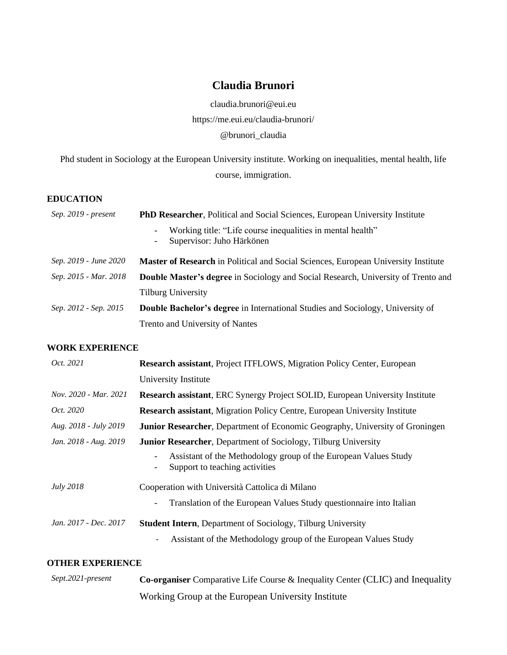# **Claudia Brunori**

claudia.brunori@eui.eu <https://me.eui.eu/claudia-brunori/> [@brunori\\_claudia](https://twitter.com/brunori_claudia)

Phd student in Sociology at the European University institute. Working on inequalities, mental health, life course, immigration.

## **EDUCATION**

| Sep. 2019 - present   | PhD Researcher, Political and Social Sciences, European University Institute                                              |  |
|-----------------------|---------------------------------------------------------------------------------------------------------------------------|--|
|                       | Working title: "Life course inequalities in mental health"<br>$\overline{\phantom{a}}$<br>Supervisor: Juho Härkönen<br>Ξ. |  |
| Sep. 2019 - June 2020 | <b>Master of Research</b> in Political and Social Sciences, European University Institute                                 |  |
| Sep. 2015 - Mar. 2018 | Double Master's degree in Sociology and Social Research, University of Trento and                                         |  |
|                       | <b>Tilburg University</b>                                                                                                 |  |
| Sep. 2012 - Sep. 2015 | Double Bachelor's degree in International Studies and Sociology, University of                                            |  |
|                       | Trento and University of Nantes                                                                                           |  |

## **WORK EXPERIENCE**

| Oct. 2021             | <b>Research assistant, Project ITFLOWS, Migration Policy Center, European</b>                     |  |
|-----------------------|---------------------------------------------------------------------------------------------------|--|
|                       | University Institute                                                                              |  |
| Nov. 2020 - Mar. 2021 | Research assistant, ERC Synergy Project SOLID, European University Institute                      |  |
| <i>Oct.</i> 2020      | <b>Research assistant, Migration Policy Centre, European University Institute</b>                 |  |
| Aug. 2018 - July 2019 | <b>Junior Researcher, Department of Economic Geography, University of Groningen</b>               |  |
| Jan. 2018 - Aug. 2019 | <b>Junior Researcher, Department of Sociology, Tilburg University</b>                             |  |
|                       | Assistant of the Methodology group of the European Values Study<br>Support to teaching activities |  |
| <i>July</i> 2018      | Cooperation with Università Cattolica di Milano                                                   |  |
|                       | Translation of the European Values Study questionnaire into Italian<br>$\overline{\phantom{a}}$   |  |
| Jan. 2017 - Dec. 2017 | <b>Student Intern, Department of Sociology, Tilburg University</b>                                |  |
|                       | Assistant of the Methodology group of the European Values Study<br>$\overline{\phantom{a}}$       |  |

## **OTHER EXPERIENCE**

| Sept.2021-present | Co-organiser Comparative Life Course & Inequality Center (CLIC) and Inequality |
|-------------------|--------------------------------------------------------------------------------|
|                   | Working Group at the European University Institute                             |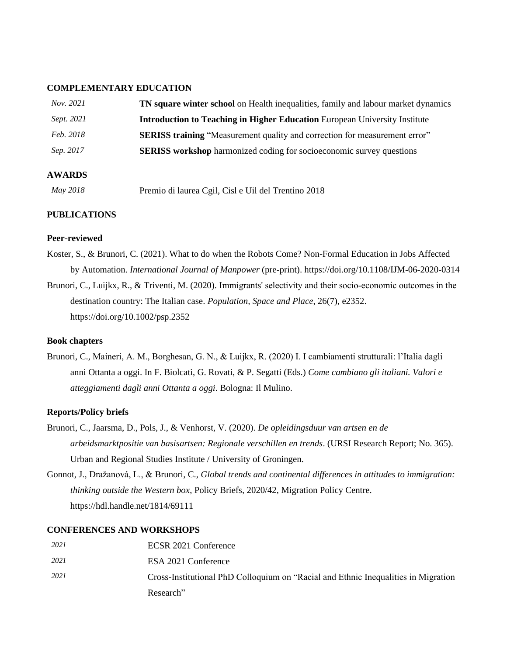#### **COMPLEMENTARY EDUCATION**

| Nov. 2021       | <b>TN square winter school</b> on Health inequalities, family and labour market dynamics |
|-----------------|------------------------------------------------------------------------------------------|
| Sept. 2021      | <b>Introduction to Teaching in Higher Education</b> European University Institute        |
| Feb. 2018       | <b>SERISS training "Measurement quality and correction for measurement error"</b>        |
| Sep. 2017       | <b>SERISS</b> workshop harmonized coding for socioeconomic survey questions              |
| <b>AWARDS</b>   |                                                                                          |
| <b>May 2018</b> | Premio di laurea Cgil, Cisl e Uil del Trentino 2018                                      |

## **PUBLICATIONS**

#### **Peer-reviewed**

- Koster, S., & Brunori, C. (2021). What to do when the Robots Come? Non-Formal Education in Jobs Affected by Automation. *International Journal of Manpower* (pre-print). https://doi.org/10.1108/IJM-06-2020-0314
- Brunori, C., Luijkx, R., & Triventi, M. (2020). Immigrants' selectivity and their socio‐economic outcomes in the destination country: The Italian case. *Population, Space and Place*, 26(7), e2352. <https://doi.org/10.1002/psp.2352>

#### **Book chapters**

Brunori, C., Maineri, A. M., Borghesan, G. N., & Luijkx, R. (2020) I. I cambiamenti strutturali: l'Italia dagli anni Ottanta a oggi. In F. Biolcati, G. Rovati, & P. Segatti (Eds.) *Come cambiano gli italiani. Valori e atteggiamenti dagli anni Ottanta a oggi*. Bologna: Il Mulino.

## **Reports/Policy briefs**

- Brunori, C., Jaarsma, D., Pols, J., & Venhorst, V. (2020). *De opleidingsduur van artsen en de arbeidsmarktpositie van basisartsen: Regionale verschillen en trends*. (URSI Research Report; No. 365). Urban and Regional Studies Institute / University of Groningen.
- Gonnot, J., Dražanová, L., & Brunori, C., *Global trends and continental differences in attitudes to immigration: thinking outside the Western box*, Policy Briefs, 2020/42, Migration Policy Centre. <https://hdl.handle.net/1814/69111>

#### **CONFERENCES AND WORKSHOPS**

| 2021 | ECSR 2021 Conference                                                                |
|------|-------------------------------------------------------------------------------------|
| 2021 | ESA 2021 Conference                                                                 |
| 2021 | Cross-Institutional PhD Colloquium on "Racial and Ethnic Inequalities in Migration" |
|      | Research"                                                                           |